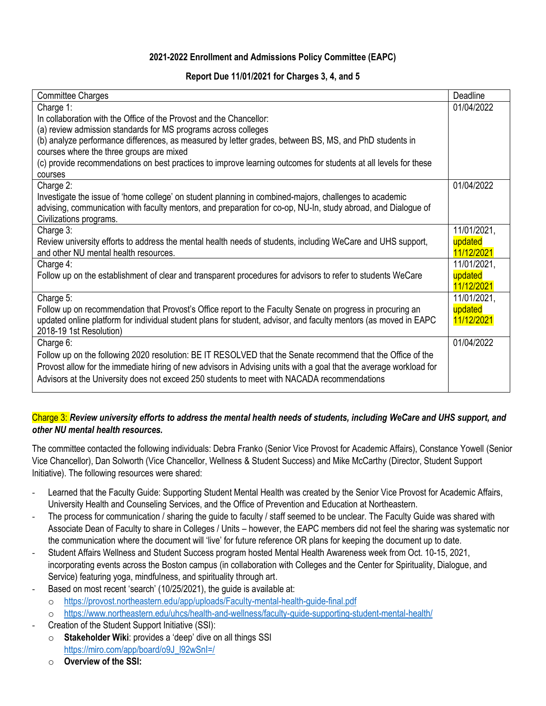# **2021-2022 Enrollment and Admissions Policy Committee (EAPC)**

## **Report Due 11/01/2021 for Charges 3, 4, and 5**

| <b>Committee Charges</b>                                                                                           | Deadline    |
|--------------------------------------------------------------------------------------------------------------------|-------------|
| Charge 1:                                                                                                          | 01/04/2022  |
| In collaboration with the Office of the Provost and the Chancellor:                                                |             |
| (a) review admission standards for MS programs across colleges                                                     |             |
| (b) analyze performance differences, as measured by letter grades, between BS, MS, and PhD students in             |             |
| courses where the three groups are mixed                                                                           |             |
| (c) provide recommendations on best practices to improve learning outcomes for students at all levels for these    |             |
| courses                                                                                                            |             |
| Charge 2:                                                                                                          | 01/04/2022  |
| Investigate the issue of 'home college' on student planning in combined-majors, challenges to academic             |             |
| advising, communication with faculty mentors, and preparation for co-op, NU-In, study abroad, and Dialogue of      |             |
| Civilizations programs.                                                                                            |             |
| Charge 3:                                                                                                          | 11/01/2021, |
| Review university efforts to address the mental health needs of students, including WeCare and UHS support,        | updated     |
| and other NU mental health resources.                                                                              | 11/12/2021  |
| Charge 4:                                                                                                          | 11/01/2021, |
| Follow up on the establishment of clear and transparent procedures for advisors to refer to students WeCare        | updated     |
|                                                                                                                    | 11/12/2021  |
| Charge 5:                                                                                                          | 11/01/2021, |
| Follow up on recommendation that Provost's Office report to the Faculty Senate on progress in procuring an         | updated     |
| updated online platform for individual student plans for student, advisor, and faculty mentors (as moved in EAPC   | 11/12/2021  |
| 2018-19 1st Resolution)                                                                                            |             |
| Charge 6:                                                                                                          | 01/04/2022  |
| Follow up on the following 2020 resolution: BE IT RESOLVED that the Senate recommend that the Office of the        |             |
| Provost allow for the immediate hiring of new advisors in Advising units with a goal that the average workload for |             |
| Advisors at the University does not exceed 250 students to meet with NACADA recommendations                        |             |
|                                                                                                                    |             |

# Charge 3: *Review university efforts to address the mental health needs of students, including WeCare and UHS support, and other NU mental health resources.*

The committee contacted the following individuals: Debra Franko (Senior Vice Provost for Academic Affairs), Constance Yowell (Senior Vice Chancellor), Dan Solworth (Vice Chancellor, Wellness & Student Success) and Mike McCarthy (Director, Student Support Initiative). The following resources were shared:

- Learned that the Faculty Guide: Supporting Student Mental Health was created by the Senior Vice Provost for Academic Affairs, University Health and Counseling Services, and the Office of Prevention and Education at Northeastern.
- The process for communication / sharing the guide to faculty / staff seemed to be unclear. The Faculty Guide was shared with Associate Dean of Faculty to share in Colleges / Units – however, the EAPC members did not feel the sharing was systematic nor the communication where the document will 'live' for future reference OR plans for keeping the document up to date.
- Student Affairs Wellness and Student Success program hosted Mental Health Awareness week from Oct. 10-15, 2021, incorporating events across the Boston campus (in collaboration with Colleges and the Center for Spirituality, Dialogue, and Service) featuring yoga, mindfulness, and spirituality through art.
	- Based on most recent 'search' (10/25/2021), the quide is available at:
		- o <https://provost.northeastern.edu/app/uploads/Faculty-mental-health-guide-final.pdf>
		- o <https://www.northeastern.edu/uhcs/health-and-wellness/faculty-guide-supporting-student-mental-health/>
- Creation of the Student Support Initiative (SSI):
	- o **Stakeholder Wiki**: provides a 'deep' dive on all things SSI [https://miro.com/app/board/o9J\\_l92wSnI=/](https://nam12.safelinks.protection.outlook.com/?url=https%3A%2F%2Fmiro.com%2Fapp%2Fboard%2Fo9J_l92wSnI%3D%2F&data=04%7C01%7CJ.VanAmburgh%40northeastern.edu%7C7f97391bf7a14e32ba5908d98868d9aa%7Ca8eec281aaa34daeac9b9a398b9215e7%7C0%7C0%7C637690806185047273%7CUnknown%7CTWFpbGZsb3d8eyJWIjoiMC4wLjAwMDAiLCJQIjoiV2luMzIiLCJBTiI6Ik1haWwiLCJXVCI6Mn0%3D%7C1000&sdata=ovrarttP3ykquyK2tlqXGxLNgK118xdTzvlXJq%2F0g5c%3D&reserved=0)
	- o **Overview of the SSI:**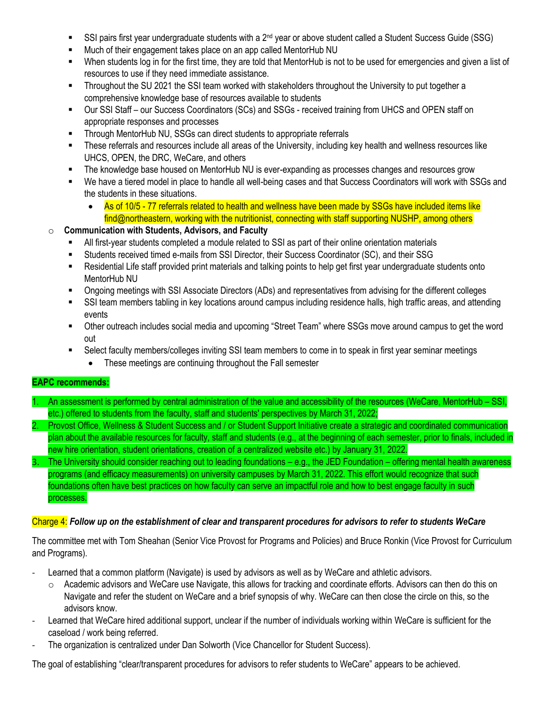- SSI pairs first year undergraduate students with a 2<sup>nd</sup> year or above student called a Student Success Guide (SSG)
- **■** Much of their engagement takes place on an app called MentorHub NU
- When students log in for the first time, they are told that MentorHub is not to be used for emergencies and given a list of resources to use if they need immediate assistance.
- Throughout the SU 2021 the SSI team worked with stakeholders throughout the University to put together a comprehensive knowledge base of resources available to students
- Our SSI Staff our Success Coordinators (SCs) and SSGs received training from UHCS and OPEN staff on appropriate responses and processes
- Through MentorHub NU, SSGs can direct students to appropriate referrals
- These referrals and resources include all areas of the University, including key health and wellness resources like UHCS, OPEN, the DRC, WeCare, and others
- The knowledge base housed on MentorHub NU is ever-expanding as processes changes and resources grow
- We have a tiered model in place to handle all well-being cases and that Success Coordinators will work with SSGs and the students in these situations.
	- As of 10/5 77 referrals related to health and wellness have been made by SSGs have included items like find@northeastern, working with the nutritionist, connecting with staff supporting NUSHP, among others

# o **Communication with Students, Advisors, and Faculty**

- All first-year students completed a module related to SSI as part of their online orientation materials
- Students received timed e-mails from SSI Director, their Success Coordinator (SC), and their SSG
- Residential Life staff provided print materials and talking points to help get first year undergraduate students onto MentorHub NU
- Ongoing meetings with SSI Associate Directors (ADs) and representatives from advising for the different colleges
- SSI team members tabling in key locations around campus including residence halls, high traffic areas, and attending events
- Other outreach includes social media and upcoming "Street Team" where SSGs move around campus to get the word out
- Select faculty members/colleges inviting SSI team members to come in to speak in first year seminar meetings
	- These meetings are continuing throughout the Fall semester

# **EAPC recommends:**

- 1. An assessment is performed by central administration of the value and accessibility of the resources (WeCare, MentorHub SSI, etc.) offered to students from the faculty, staff and students' perspectives by March 31, 2022;
- 2. Provost Office, Wellness & Student Success and / or Student Support Initiative create a strategic and coordinated communication plan about the available resources for faculty, staff and students (e.g., at the beginning of each semester, prior to finals, included in new hire orientation, student orientations, creation of a centralized website etc.) by January 31, 2022.
- 3. The University should consider reaching out to leading foundations e.g., the JED Foundation offering mental health awareness programs (and efficacy measurements) on university campuses by March 31, 2022. This effort would recognize that such foundations often have best practices on how faculty can serve an impactful role and how to best engage faculty in such processes.

## Charge 4: *Follow up on the establishment of clear and transparent procedures for advisors to refer to students WeCare*

The committee met with Tom Sheahan (Senior Vice Provost for Programs and Policies) and Bruce Ronkin (Vice Provost for Curriculum and Programs).

- Learned that a common platform (Navigate) is used by advisors as well as by WeCare and athletic advisors.
	- $\circ$  Academic advisors and WeCare use Navigate, this allows for tracking and coordinate efforts. Advisors can then do this on Navigate and refer the student on WeCare and a brief synopsis of why. WeCare can then close the circle on this, so the advisors know.
- Learned that WeCare hired additional support, unclear if the number of individuals working within WeCare is sufficient for the caseload / work being referred.
- The organization is centralized under Dan Solworth (Vice Chancellor for Student Success).

The goal of establishing "clear/transparent procedures for advisors to refer students to WeCare" appears to be achieved.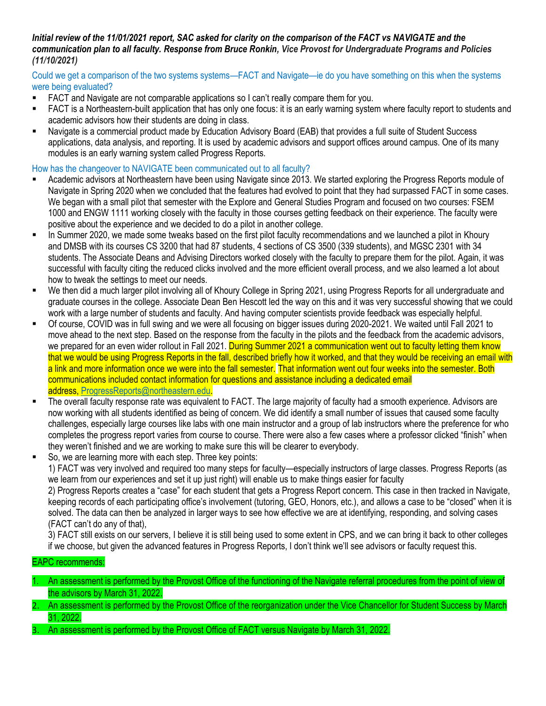#### *Initial review of the 11/01/2021 report, SAC asked for clarity on the comparison of the FACT vs NAVIGATE and the communication plan to all faculty. Response from Bruce Ronkin, Vice Provost for Undergraduate Programs and Policies (11/10/2021)*

### Could we get a comparison of the two systems systems—FACT and Navigate—ie do you have something on this when the systems were being evaluated?

- **EXECT** and Navigate are not comparable applications so I can't really compare them for you.
- FACT is a Northeastern-built application that has only one focus: it is an early warning system where faculty report to students and academic advisors how their students are doing in class.
- Navigate is a commercial product made by Education Advisory Board (EAB) that provides a full suite of Student Success applications, data analysis, and reporting. It is used by academic advisors and support offices around campus. One of its many modules is an early warning system called Progress Reports.

# How has the changeover to NAVIGATE been communicated out to all faculty?

- Academic advisors at Northeastern have been using Navigate since 2013. We started exploring the Progress Reports module of Navigate in Spring 2020 when we concluded that the features had evolved to point that they had surpassed FACT in some cases. We began with a small pilot that semester with the Explore and General Studies Program and focused on two courses: FSEM 1000 and ENGW 1111 working closely with the faculty in those courses getting feedback on their experience. The faculty were positive about the experience and we decided to do a pilot in another college.
- **.** In Summer 2020, we made some tweaks based on the first pilot faculty recommendations and we launched a pilot in Khoury and DMSB with its courses CS 3200 that had 87 students, 4 sections of CS 3500 (339 students), and MGSC 2301 with 34 students. The Associate Deans and Advising Directors worked closely with the faculty to prepare them for the pilot. Again, it was successful with faculty citing the reduced clicks involved and the more efficient overall process, and we also learned a lot about how to tweak the settings to meet our needs.
- We then did a much larger pilot involving all of Khoury College in Spring 2021, using Progress Reports for all undergraduate and graduate courses in the college. Associate Dean Ben Hescott led the way on this and it was very successful showing that we could work with a large number of students and faculty. And having computer scientists provide feedback was especially helpful.
- Of course, COVID was in full swing and we were all focusing on bigger issues during 2020-2021. We waited until Fall 2021 to move ahead to the next step. Based on the response from the faculty in the pilots and the feedback from the academic advisors, we prepared for an even wider rollout in Fall 2021. During Summer 2021 a communication went out to faculty letting them know that we would be using Progress Reports in the fall, described briefly how it worked, and that they would be receiving an email with a link and more information once we were into the fall semester. That information went out four weeks into the semester. Both communications included contact information for questions and assistance including a dedicated email address, [ProgressReports@northeastern.edu.](mailto:ProgressReports@northeastern.edu)
- The overall faculty response rate was equivalent to FACT. The large majority of faculty had a smooth experience. Advisors are now working with all students identified as being of concern. We did identify a small number of issues that caused some faculty challenges, especially large courses like labs with one main instructor and a group of lab instructors where the preference for who completes the progress report varies from course to course. There were also a few cases where a professor clicked "finish" when they weren't finished and we are working to make sure this will be clearer to everybody.
- So, we are learning more with each step. Three key points: 1) FACT was very involved and required too many steps for faculty—especially instructors of large classes. Progress Reports (as we learn from our experiences and set it up just right) will enable us to make things easier for faculty 2) Progress Reports creates a "case" for each student that gets a Progress Report concern. This case in then tracked in Navigate, keeping records of each participating office's involvement (tutoring, GEO, Honors, etc.), and allows a case to be "closed" when it is solved. The data can then be analyzed in larger ways to see how effective we are at identifying, responding, and solving cases

(FACT can't do any of that),

3) FACT still exists on our servers, I believe it is still being used to some extent in CPS, and we can bring it back to other colleges if we choose, but given the advanced features in Progress Reports, I don't think we'll see advisors or faculty request this.

## EAPC recommends:

- 1. An assessment is performed by the Provost Office of the functioning of the Navigate referral procedures from the point of view of the advisors by March 31, 2022.
- 2. An assessment is performed by the Provost Office of the reorganization under the Vice Chancellor for Student Success by March 31, 2022.
- 3. An assessment is performed by the Provost Office of FACT versus Navigate by March 31, 2022.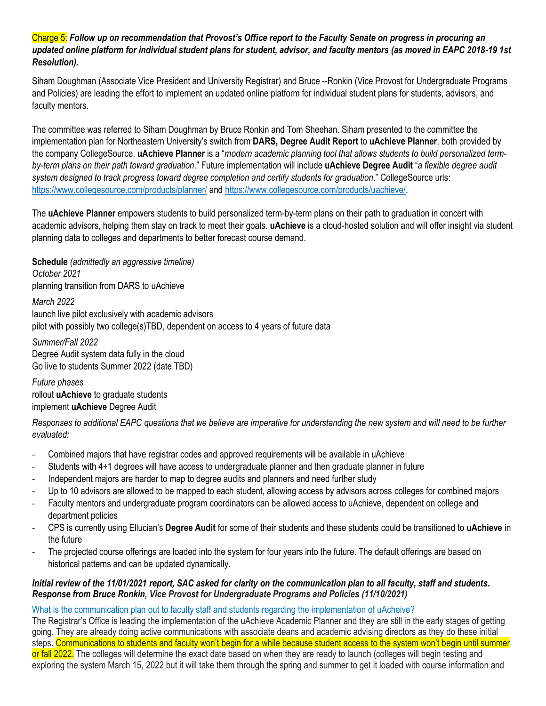## Charge 5: *Follow up on recommendation that Provost's Office report to the Faculty Senate on progress in procuring an updated online platform for individual student plans for student, advisor, and faculty mentors (as moved in EAPC 2018-19 1st Resolution).*

Siham Doughman (Associate Vice President and University Registrar) and Bruce --Ronkin (Vice Provost for Undergraduate Programs and Policies) are leading the effort to implement an updated online platform for individual student plans for students, advisors, and faculty mentors.

The committee was referred to Siham Doughman by Bruce Ronkin and Tom Sheehan. Siham presented to the committee the implementation plan for Northeastern University's switch from **DARS, Degree Audit Report** to **uAchieve Planner**, both provided by the company CollegeSource. **uAchieve Planner** is a "*modern academic planning tool that allows students to build personalized termby-term plans on their path toward graduation*." Future implementation will include **uAchieve Degree Audit** "*a flexible degree audit system designed to track progress toward degree completion and certify students for graduation*." CollegeSource urls: <https://www.collegesource.com/products/planner/> and [https://www.collegesource.com/products/uachieve/.](https://www.collegesource.com/products/uachieve/)

The **uAchieve Planner** empowers students to build personalized term-by-term plans on their path to graduation in concert with academic advisors, helping them stay on track to meet their goals. **uAchieve** is a cloud-hosted solution and will offer insight via student planning data to colleges and departments to better forecast course demand.

**Schedule** *(admittedly an aggressive timeline) October 2021* planning transition from DARS to uAchieve

*March 2022*

launch live pilot exclusively with academic advisors

pilot with possibly two college(s)TBD, dependent on access to 4 years of future data

*Summer/Fall 2022* Degree Audit system data fully in the cloud Go live to students Summer 2022 (date TBD)

*Future phases* rollout **uAchieve** to graduate students implement **uAchieve** Degree Audit

*Responses to additional EAPC questions that we believe are imperative for understanding the new system and will need to be further evaluated:*

- Combined majors that have registrar codes and approved requirements will be available in uAchieve
- Students with 4+1 degrees will have access to undergraduate planner and then graduate planner in future
- Independent majors are harder to map to degree audits and planners and need further study
- Up to 10 advisors are allowed to be mapped to each student, allowing access by advisors across colleges for combined majors
- Faculty mentors and undergraduate program coordinators can be allowed access to uAchieve, dependent on college and department policies
- CPS is currently using Ellucian's **Degree Audit** for some of their students and these students could be transitioned to **uAchieve** in the future
- The projected course offerings are loaded into the system for four years into the future. The default offerings are based on historical patterns and can be updated dynamically.

## *Initial review of the 11/01/2021 report, SAC asked for clarity on the communication plan to all faculty, staff and students. Response from Bruce Ronkin, Vice Provost for Undergraduate Programs and Policies (11/10/2021)*

What is the communication plan out to faculty staff and students regarding the implementation of uAcheive?

The Registrar's Office is leading the implementation of the uAchieve Academic Planner and they are still in the early stages of getting going. They are already doing active communications with associate deans and academic advising directors as they do these initial steps. Communications to students and faculty won't begin for a while because student access to the system won't begin until summer or fall 2022. The colleges will determine the exact date based on when they are ready to launch (colleges will begin testing and exploring the system March 15, 2022 but it will take them through the spring and summer to get it loaded with course information and